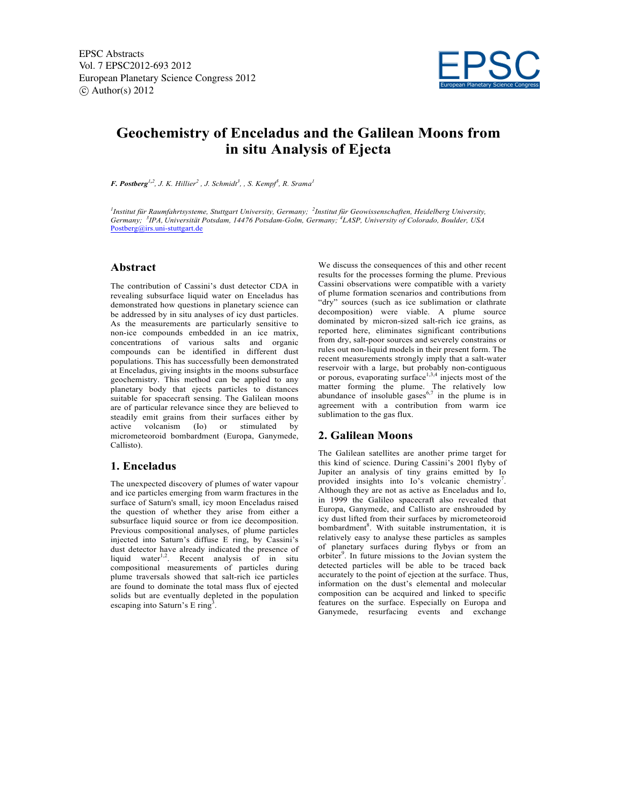

# **Geochemistry of Enceladus and the Galilean Moons from in situ Analysis of Ejecta**

*<i>F. Postberg*<sup>1,2</sup>, *J. K. Hillier*<sup>2</sup>, *J. Schmidt*<sup>3</sup>, *, S. Kempf*<sup>5</sup>, *R. Srama*<sup>*1*</sup>

*1 Institut für Raumfahrtsysteme, Stuttgart University, Germany; <sup>2</sup> Institut für Geowissenschaften, Heidelberg University, Germany; <sup>3</sup> IPA, Universität Potsdam, 14476 Potsdam-Golm, Germany; <sup>4</sup> LASP, University of Colorado, Boulder, USA* Postberg@irs.uni-stuttgart.de

## **Abstract**

The contribution of Cassini's dust detector CDA in revealing subsurface liquid water on Enceladus has demonstrated how questions in planetary science can be addressed by in situ analyses of icy dust particles. As the measurements are particularly sensitive to non-ice compounds embedded in an ice matrix, concentrations of various salts and organic compounds can be identified in different dust populations. This has successfully been demonstrated at Enceladus, giving insights in the moons subsurface geochemistry. This method can be applied to any planetary body that ejects particles to distances suitable for spacecraft sensing. The Galilean moons are of particular relevance since they are believed to steadily emit grains from their surfaces either by active volcanism (Io) or stimulated by micrometeoroid bombardment (Europa, Ganymede, Callisto).

#### **1. Enceladus**

The unexpected discovery of plumes of water vapour and ice particles emerging from warm fractures in the surface of Saturn's small, icy moon Enceladus raised the question of whether they arise from either a subsurface liquid source or from ice decomposition. Previous compositional analyses, of plume particles injected into Saturn's diffuse E ring, by Cassini's dust detector have already indicated the presence of liquid water<sup>1,2</sup>. Recent analysis of in situ compositional measurements of particles during plume traversals showed that salt-rich ice particles are found to dominate the total mass flux of ejected solids but are eventually depleted in the population escaping into Saturn's  $E$  ring<sup>3</sup>.

We discuss the consequences of this and other recent results for the processes forming the plume. Previous Cassini observations were compatible with a variety of plume formation scenarios and contributions from "dry" sources (such as ice sublimation or clathrate decomposition) were viable. A plume source dominated by micron-sized salt-rich ice grains, as reported here, eliminates significant contributions from dry, salt-poor sources and severely constrains or rules out non-liquid models in their present form. The recent measurements strongly imply that a salt-water reservoir with a large, but probably non-contiguous or porous, evaporating surface $1,3,4$  injects most of the matter forming the plume. The relatively low abundance of insoluble gases<sup>6,7</sup> in the plume is in agreement with a contribution from warm ice sublimation to the gas flux.

#### **2. Galilean Moons**

The Galilean satellites are another prime target for this kind of science. During Cassini's 2001 flyby of Jupiter an analysis of tiny grains emitted by Io provided insights into Io's volcanic chemistry<sup>7</sup>. Although they are not as active as Enceladus and Io, in 1999 the Galileo spacecraft also revealed that Europa, Ganymede, and Callisto are enshrouded by icy dust lifted from their surfaces by micrometeoroid bombardment<sup>8</sup>. With suitable instrumentation, it is relatively easy to analyse these particles as samples of planetary surfaces during flybys or from an orbiter<sup>9</sup>. In future missions to the Jovian system the detected particles will be able to be traced back accurately to the point of ejection at the surface. Thus, information on the dust's elemental and molecular composition can be acquired and linked to specific features on the surface. Especially on Europa and Ganymede, resurfacing events and exchange